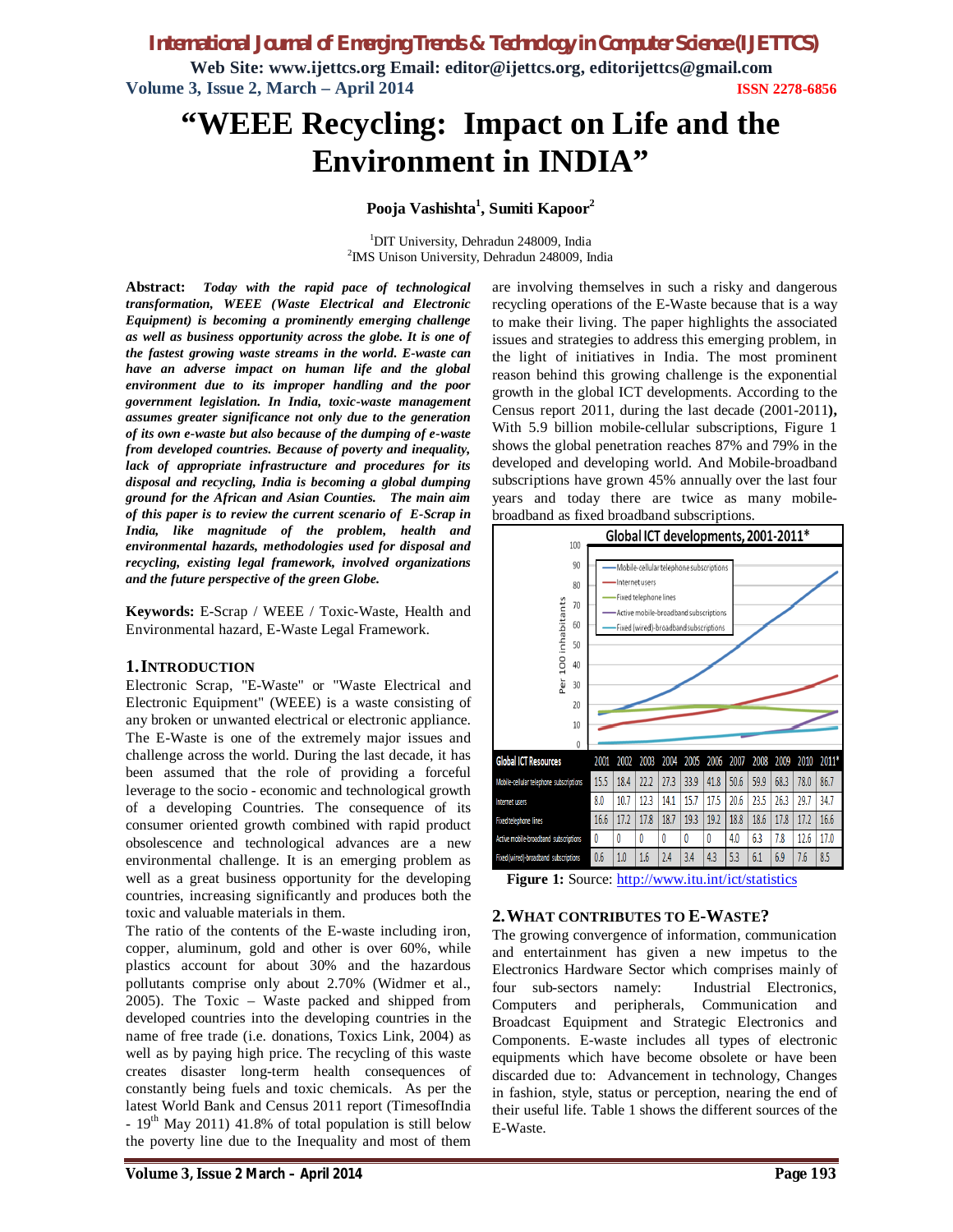*International Journal of Emerging Trends & Technology in Computer Science (IJETTCS)*

**Web Site: www.ijettcs.org Email: editor@ijettcs.org, editorijettcs@gmail.com Volume 3, Issue 2, March – April 2014 ISSN 2278-6856**

# **"WEEE Recycling: Impact on Life and the Environment in INDIA"**

## **Pooja Vashishta<sup>1</sup> , Sumiti Kapoor<sup>2</sup>**

<sup>1</sup>DIT University, Dehradun 248009, India 2 IMS Unison University, Dehradun 248009, India

**Abstract:** *Today with the rapid pace of technological transformation, WEEE (Waste Electrical and Electronic Equipment) is becoming a prominently emerging challenge as well as business opportunity across the globe. It is one of the fastest growing waste streams in the world. E-waste can have an adverse impact on human life and the global environment due to its improper handling and the poor government legislation. In India, toxic-waste management assumes greater significance not only due to the generation of its own e-waste but also because of the dumping of e-waste from developed countries. Because of poverty and inequality, lack of appropriate infrastructure and procedures for its disposal and recycling, India is becoming a global dumping ground for the African and Asian Counties. The main aim of this paper is to review the current scenario of E-Scrap in India, like magnitude of the problem, health and environmental hazards, methodologies used for disposal and recycling, existing legal framework, involved organizations and the future perspective of the green Globe.*

**Keywords:** E-Scrap / WEEE / Toxic-Waste, Health and Environmental hazard, E-Waste Legal Framework.

#### **1.INTRODUCTION**

Electronic Scrap, "E-Waste" or "Waste Electrical and Electronic Equipment" (WEEE) is a waste consisting of any broken or unwanted electrical or electronic appliance. The E-Waste is one of the extremely major issues and challenge across the world. During the last decade, it has been assumed that the role of providing a forceful leverage to the socio - economic and technological growth of a developing Countries. The consequence of its consumer oriented growth combined with rapid product obsolescence and technological advances are a new environmental challenge. It is an emerging problem as well as a great business opportunity for the developing countries, increasing significantly and produces both the toxic and valuable materials in them.

The ratio of the contents of the E-waste including iron, copper, aluminum, gold and other is over 60%, while plastics account for about 30% and the hazardous pollutants comprise only about 2.70% (Widmer et al., 2005). The Toxic – Waste packed and shipped from developed countries into the developing countries in the name of free trade (i.e. donations, Toxics Link, 2004) as well as by paying high price. The recycling of this waste creates disaster long-term health consequences of constantly being fuels and toxic chemicals. As per the latest World Bank and Census 2011 report (TimesofIndia  $-19<sup>th</sup>$  May 2011) 41.8% of total population is still below the poverty line due to the Inequality and most of them are involving themselves in such a risky and dangerous recycling operations of the E-Waste because that is a way to make their living. The paper highlights the associated issues and strategies to address this emerging problem, in the light of initiatives in India. The most prominent reason behind this growing challenge is the exponential growth in the global ICT developments. According to the Census report 2011, during the last decade (2001-2011**),**  With 5.9 billion mobile-cellular subscriptions, Figure 1 shows the global penetration reaches 87% and 79% in the developed and developing world. And Mobile-broadband subscriptions have grown 45% annually over the last four years and today there are twice as many mobilebroadband as fixed broadband subscriptions.



Figure 1: Source: http://www.itu.int/ict/statistics

## **2.WHAT CONTRIBUTES TO E-WASTE?**

The growing convergence of information, communication and entertainment has given a new impetus to the Electronics Hardware Sector which comprises mainly of four sub-sectors namely: Industrial Electronics, Computers and peripherals, Communication and Broadcast Equipment and Strategic Electronics and Components. E-waste includes all types of electronic equipments which have become obsolete or have been discarded due to: Advancement in technology, Changes in fashion, style, status or perception, nearing the end of their useful life. Table 1 shows the different sources of the E-Waste.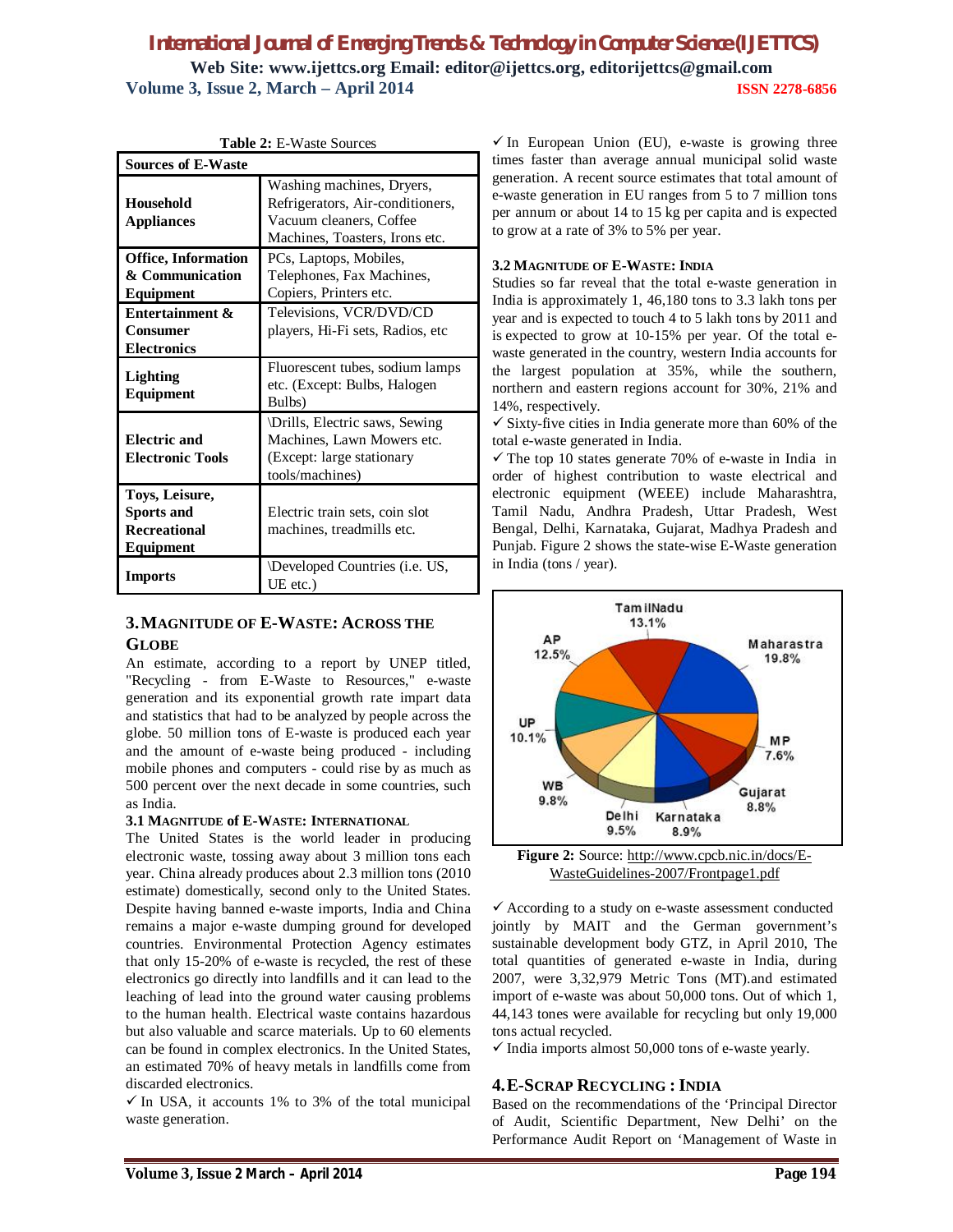| <b>Table 2: E-Waste Sources</b>                                         |                                                                                                                            |  |  |  |
|-------------------------------------------------------------------------|----------------------------------------------------------------------------------------------------------------------------|--|--|--|
| <b>Sources of E-Waste</b>                                               |                                                                                                                            |  |  |  |
| <b>Household</b><br><b>Appliances</b>                                   | Washing machines, Dryers,<br>Refrigerators, Air-conditioners,<br>Vacuum cleaners, Coffee<br>Machines, Toasters, Irons etc. |  |  |  |
| <b>Office, Information</b><br>& Communication<br>Equipment              | PCs, Laptops, Mobiles,<br>Telephones, Fax Machines,<br>Copiers, Printers etc.                                              |  |  |  |
| <b>Entertainment &amp;</b><br>Consumer<br><b>Electronics</b>            | Televisions, VCR/DVD/CD<br>players, Hi-Fi sets, Radios, etc                                                                |  |  |  |
| <b>Lighting</b><br>Equipment                                            | Fluorescent tubes, sodium lamps<br>etc. (Except: Bulbs, Halogen<br>Bulbs)                                                  |  |  |  |
| <b>Electric and</b><br><b>Electronic Tools</b>                          | Drills, Electric saws, Sewing<br>Machines, Lawn Mowers etc.<br>(Except: large stationary<br>tools/machines)                |  |  |  |
| Toys, Leisure,<br><b>Sports and</b><br><b>Recreational</b><br>Equipment | Electric train sets, coin slot<br>machines, treadmills etc.                                                                |  |  |  |
| <b>Imports</b>                                                          | Developed Countries (i.e. US,<br>UE etc.)                                                                                  |  |  |  |

# **Table 2:** E-Waste Sources

### **3.MAGNITUDE OF E-WASTE: ACROSS THE GLOBE**

An estimate, according to a report by UNEP titled, "Recycling - from E-Waste to Resources," e-waste generation and its exponential growth rate impart data and statistics that had to be analyzed by people across the globe. 50 million tons of E-waste is produced each year and the amount of e-waste being produced - including mobile phones and computers - could rise by as much as 500 percent over the next decade in some countries, such as India.

#### **3.1 MAGNITUDE of E-WASTE: INTERNATIONAL**

The United States is the world leader in producing electronic waste, tossing away about 3 million tons each year. China already produces about 2.3 million tons (2010 estimate) domestically, second only to the United States. Despite having banned e-waste imports, India and China remains a major e-waste dumping ground for developed countries. Environmental Protection Agency estimates that only 15-20% of e-waste is recycled, the rest of these electronics go directly into landfills and it can lead to the leaching of lead into the ground water causing problems to the human health. Electrical waste contains hazardous but also valuable and scarce materials. Up to 60 elements can be found in complex electronics. In the United States, an estimated 70% of heavy metals in landfills come from discarded electronics.

 $\checkmark$  In USA, it accounts 1% to 3% of the total municipal waste generation.

 $\checkmark$  In European Union (EU), e-waste is growing three times faster than average annual municipal solid waste generation. A recent source estimates that total amount of e-waste generation in EU ranges from 5 to 7 million tons per annum or about 14 to 15 kg per capita and is expected to grow at a rate of 3% to 5% per year.

#### **3.2 MAGNITUDE OF E-WASTE: INDIA**

Studies so far reveal that the total e-waste generation in India is approximately 1, 46,180 tons to 3.3 lakh tons per year and is expected to touch 4 to 5 lakh tons by 2011 and is expected to grow at 10-15% per year. Of the total ewaste generated in the country, western India accounts for the largest population at 35%, while the southern, northern and eastern regions account for 30%, 21% and 14%, respectively.

 $\checkmark$  Sixty-five cities in India generate more than 60% of the total e-waste generated in India.

 $\checkmark$  The top 10 states generate 70% of e-waste in India in order of highest contribution to waste electrical and electronic equipment (WEEE) include Maharashtra, Tamil Nadu, Andhra Pradesh, Uttar Pradesh, West Bengal, Delhi, Karnataka, Gujarat, Madhya Pradesh and Punjab. Figure 2 shows the state-wise E-Waste generation in India (tons / year).



WasteGuidelines-2007/Frontpage1.pdf

 $\checkmark$  According to a study on e-waste assessment conducted jointly by MAIT and the German government's sustainable development body GTZ, in April 2010, The total quantities of generated e-waste in India, during 2007, were 3,32,979 Metric Tons (MT).and estimated import of e-waste was about 50,000 tons. Out of which 1, 44,143 tones were available for recycling but only 19,000 tons actual recycled.

 $\checkmark$  India imports almost 50,000 tons of e-waste yearly.

#### **4.E-SCRAP RECYCLING : INDIA**

Based on the recommendations of the 'Principal Director of Audit, Scientific Department, New Delhi' on the Performance Audit Report on 'Management of Waste in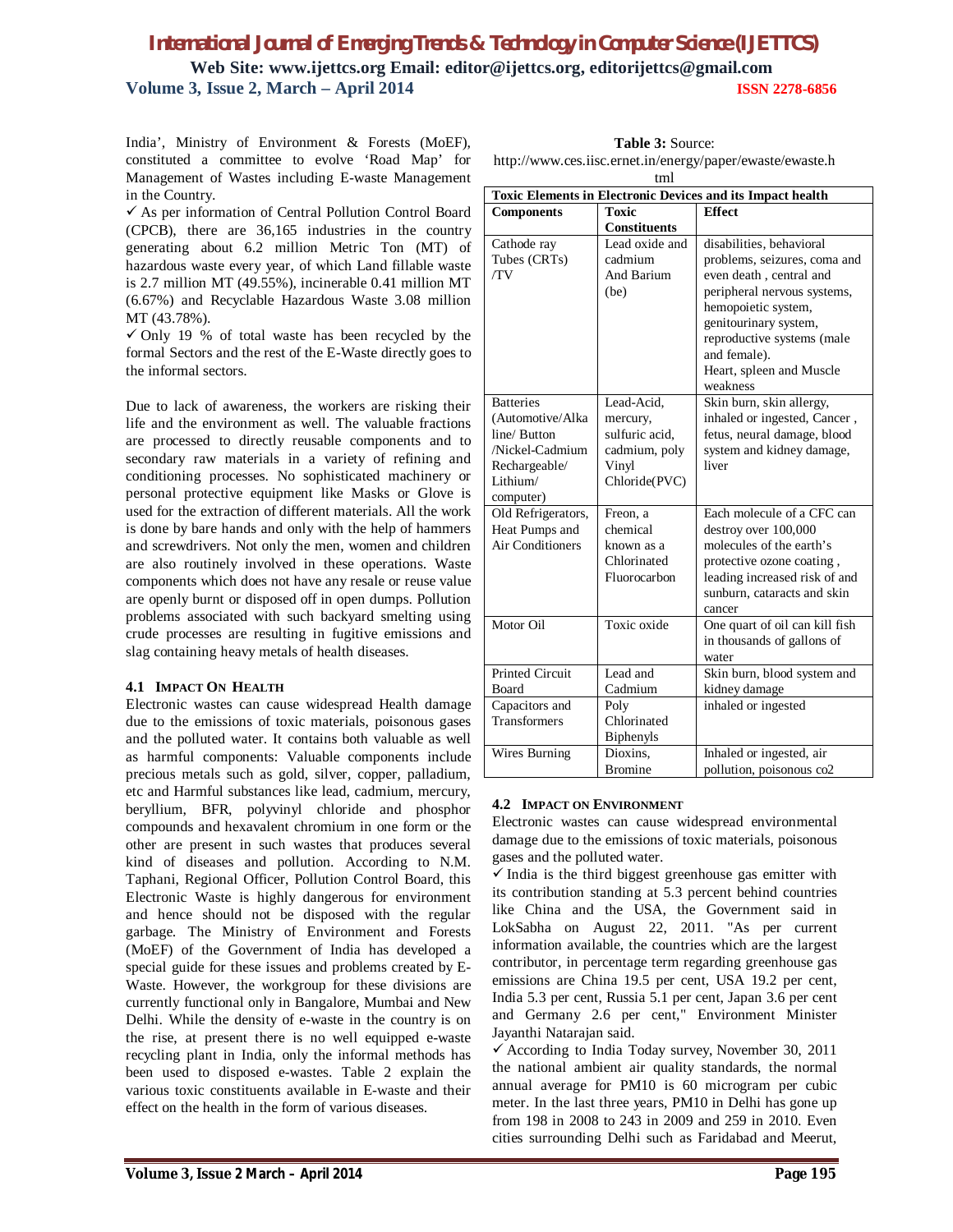India', Ministry of Environment & Forests (MoEF), constituted a committee to evolve 'Road Map' for Management of Wastes including E-waste Management in the Country.

 $\checkmark$  As per information of Central Pollution Control Board (CPCB), there are 36,165 industries in the country generating about 6.2 million Metric Ton (MT) of hazardous waste every year, of which Land fillable waste is 2.7 million MT (49.55%), incinerable 0.41 million MT (6.67%) and Recyclable Hazardous Waste 3.08 million MT (43.78%).

 $\checkmark$  Only 19 % of total waste has been recycled by the formal Sectors and the rest of the E-Waste directly goes to the informal sectors.

Due to lack of awareness, the workers are risking their life and the environment as well. The valuable fractions are processed to directly reusable components and to secondary raw materials in a variety of refining and conditioning processes. No sophisticated machinery or personal protective equipment like Masks or Glove is used for the extraction of different materials. All the work is done by bare hands and only with the help of hammers and screwdrivers. Not only the men, women and children are also routinely involved in these operations. Waste components which does not have any resale or reuse value are openly burnt or disposed off in open dumps. Pollution problems associated with such backyard smelting using crude processes are resulting in fugitive emissions and slag containing heavy metals of health diseases.

#### **4.1 IMPACT ON HEALTH**

Electronic wastes can cause widespread Health damage due to the emissions of toxic materials, poisonous gases and the polluted water. It contains both valuable as well as harmful components: Valuable components include precious metals such as gold, silver, copper, palladium, etc and Harmful substances like lead, cadmium, mercury, beryllium, BFR, polyvinyl chloride and phosphor compounds and hexavalent chromium in one form or the other are present in such wastes that produces several kind of diseases and pollution. According to N.M. Taphani, Regional Officer, Pollution Control Board, this Electronic Waste is highly dangerous for environment and hence should not be disposed with the regular garbage. The Ministry of Environment and Forests (MoEF) of the Government of India has developed a special guide for these issues and problems created by E-Waste. However, the workgroup for these divisions are currently functional only in Bangalore, Mumbai and New Delhi. While the density of e-waste in the country is on the rise, at present there is no well equipped e-waste recycling plant in India, only the informal methods has been used to disposed e-wastes. Table 2 explain the various toxic constituents available in E-waste and their effect on the health in the form of various diseases.

**Table 3:** Source: http://www.ces.iisc.ernet.in/energy/paper/ewaste/ewaste.h tml

| <b>Toxic Elements in Electronic Devices and its Impact health</b>                                                 |                                                                                     |                                                                                                                                                                                                                  |  |
|-------------------------------------------------------------------------------------------------------------------|-------------------------------------------------------------------------------------|------------------------------------------------------------------------------------------------------------------------------------------------------------------------------------------------------------------|--|
| <b>Components</b>                                                                                                 | <b>Toxic</b>                                                                        | <b>Effect</b>                                                                                                                                                                                                    |  |
|                                                                                                                   | <b>Constituents</b>                                                                 |                                                                                                                                                                                                                  |  |
| Cathode ray<br>Tubes (CRTs)<br>/TV                                                                                | Lead oxide and<br>cadmium<br>And Barium<br>(be)                                     | disabilities, behavioral<br>problems, seizures, coma and<br>even death, central and<br>peripheral nervous systems,<br>hemopoietic system,<br>genitourinary system,<br>reproductive systems (male<br>and female). |  |
|                                                                                                                   |                                                                                     | Heart, spleen and Muscle<br>weakness                                                                                                                                                                             |  |
| <b>Batteries</b><br>(Automotive/Alka<br>line/ Button<br>/Nickel-Cadmium<br>Rechargeable/<br>Lithium/<br>computer) | Lead-Acid.<br>mercury,<br>sulfuric acid.<br>cadmium, poly<br>Vinyl<br>Chloride(PVC) | Skin burn, skin allergy,<br>inhaled or ingested, Cancer,<br>fetus, neural damage, blood<br>system and kidney damage,<br>liver                                                                                    |  |
| Old Refrigerators,<br>Heat Pumps and<br>Air Conditioners                                                          | Freon, a<br>chemical<br>known as a<br>Chlorinated<br>Fluorocarbon                   | Each molecule of a CFC can<br>destroy over 100,000<br>molecules of the earth's<br>protective ozone coating,<br>leading increased risk of and<br>sunburn, cataracts and skin<br>cancer                            |  |
| Motor Oil                                                                                                         | Toxic oxide                                                                         | One quart of oil can kill fish<br>in thousands of gallons of<br>water                                                                                                                                            |  |
| <b>Printed Circuit</b><br>Board                                                                                   | Lead and<br>Cadmium                                                                 | Skin burn, blood system and<br>kidney damage                                                                                                                                                                     |  |
| Capacitors and<br><b>Transformers</b>                                                                             | Poly<br>Chlorinated<br>Biphenyls                                                    | inhaled or ingested                                                                                                                                                                                              |  |
| Wires Burning                                                                                                     | Dioxins.<br><b>Bromine</b>                                                          | Inhaled or ingested, air<br>pollution, poisonous co2                                                                                                                                                             |  |

#### **4.2 IMPACT ON ENVIRONMENT**

Electronic wastes can cause widespread environmental damage due to the emissions of toxic materials, poisonous gases and the polluted water.

 $\checkmark$  India is the third biggest greenhouse gas emitter with its contribution standing at 5.3 percent behind countries like China and the USA, the Government said in LokSabha on August 22, 2011. "As per current information available, the countries which are the largest contributor, in percentage term regarding greenhouse gas emissions are China 19.5 per cent, USA 19.2 per cent, India 5.3 per cent, Russia 5.1 per cent, Japan 3.6 per cent and Germany 2.6 per cent," Environment Minister Jayanthi Natarajan said.

 $\checkmark$  According to India Today survey, November 30, 2011 the national ambient air quality standards, the normal annual average for PM10 is 60 microgram per cubic meter. In the last three years, PM10 in Delhi has gone up from 198 in 2008 to 243 in 2009 and 259 in 2010. Even cities surrounding Delhi such as Faridabad and Meerut,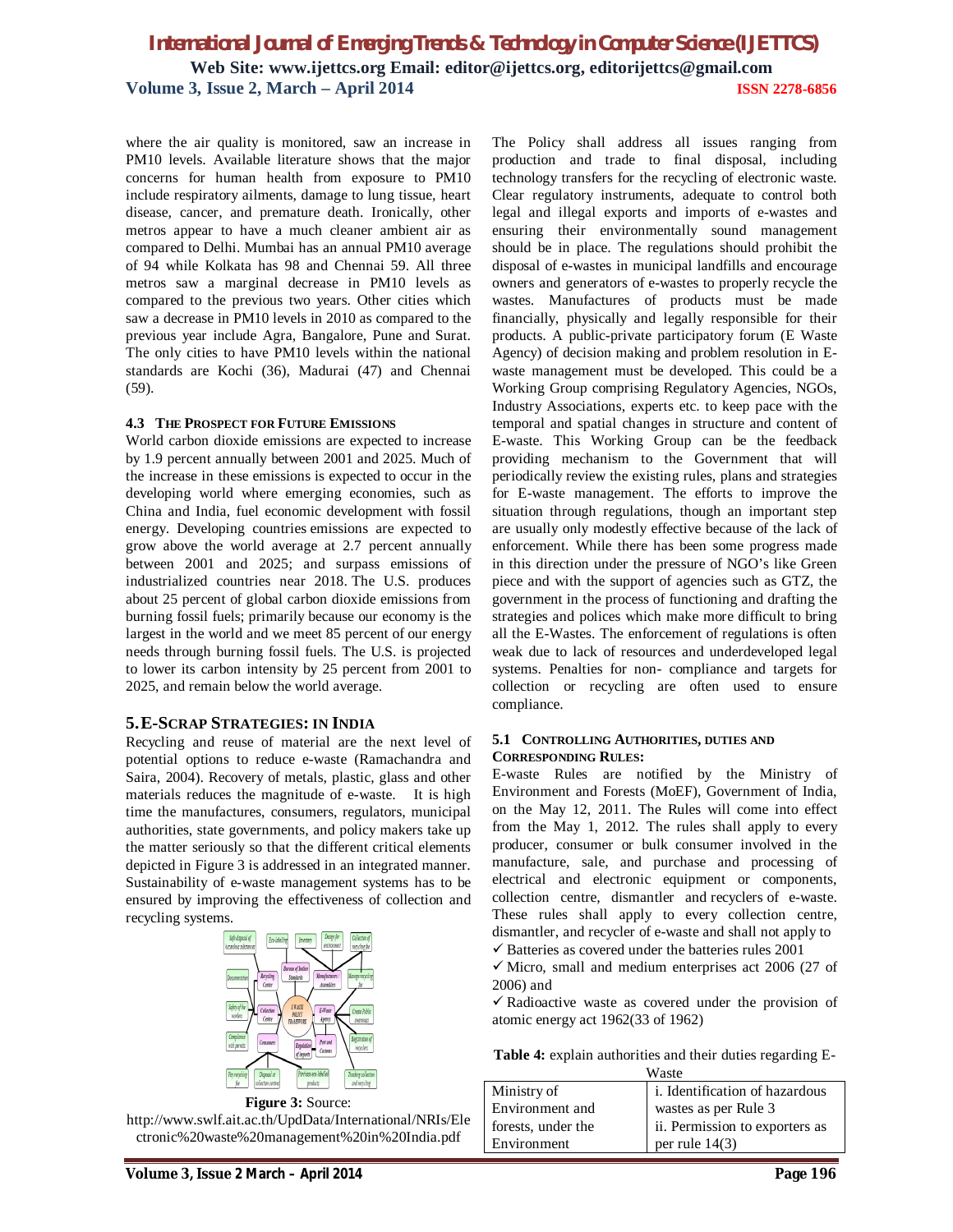where the air quality is monitored, saw an increase in PM10 levels. Available literature shows that the major concerns for human health from exposure to PM10 include respiratory ailments, damage to lung tissue, heart disease, cancer, and premature death. Ironically, other metros appear to have a much cleaner ambient air as compared to Delhi. Mumbai has an annual PM10 average of 94 while Kolkata has 98 and Chennai 59. All three metros saw a marginal decrease in PM10 levels as compared to the previous two years. Other cities which saw a decrease in PM10 levels in 2010 as compared to the previous year include Agra, Bangalore, Pune and Surat. The only cities to have PM10 levels within the national standards are Kochi (36), Madurai (47) and Chennai (59).

#### **4.3 THE PROSPECT FOR FUTURE EMISSIONS**

World carbon dioxide emissions are expected to increase by 1.9 percent annually between 2001 and 2025. Much of the increase in these emissions is expected to occur in the developing world where emerging economies, such as China and India, fuel economic development with fossil energy. Developing countries emissions are expected to grow above the world average at 2.7 percent annually between 2001 and 2025; and surpass emissions of industrialized countries near 2018. The U.S. produces about 25 percent of global carbon dioxide emissions from burning fossil fuels; primarily because our economy is the largest in the world and we meet 85 percent of our energy needs through burning fossil fuels. The U.S. is projected to lower its carbon intensity by 25 percent from 2001 to 2025, and remain below the world average.

#### **5.E-SCRAP STRATEGIES: IN INDIA**

Recycling and reuse of material are the next level of potential options to reduce e-waste (Ramachandra and Saira, 2004). Recovery of metals, plastic, glass and other materials reduces the magnitude of e-waste. It is high time the manufactures, consumers, regulators, municipal authorities, state governments, and policy makers take up the matter seriously so that the different critical elements depicted in Figure 3 is addressed in an integrated manner. Sustainability of e-waste management systems has to be ensured by improving the effectiveness of collection and recycling systems.





The Policy shall address all issues ranging from production and trade to final disposal, including technology transfers for the recycling of electronic waste. Clear regulatory instruments, adequate to control both legal and illegal exports and imports of e-wastes and ensuring their environmentally sound management should be in place. The regulations should prohibit the disposal of e-wastes in municipal landfills and encourage owners and generators of e-wastes to properly recycle the wastes. Manufactures of products must be made financially, physically and legally responsible for their products. A public-private participatory forum (E Waste Agency) of decision making and problem resolution in Ewaste management must be developed. This could be a Working Group comprising Regulatory Agencies, NGOs, Industry Associations, experts etc. to keep pace with the temporal and spatial changes in structure and content of E-waste. This Working Group can be the feedback providing mechanism to the Government that will periodically review the existing rules, plans and strategies for E-waste management. The efforts to improve the situation through regulations, though an important step are usually only modestly effective because of the lack of enforcement. While there has been some progress made in this direction under the pressure of NGO's like Green piece and with the support of agencies such as GTZ, the government in the process of functioning and drafting the strategies and polices which make more difficult to bring all the E-Wastes. The enforcement of regulations is often weak due to lack of resources and underdeveloped legal systems. Penalties for non- compliance and targets for collection or recycling are often used to ensure compliance.

#### **5.1 CONTROLLING AUTHORITIES, DUTIES AND CORRESPONDING RULES:**

E-waste Rules are notified by the Ministry of Environment and Forests (MoEF), Government of India, on the May 12, 2011. The Rules will come into effect from the May 1, 2012. The rules shall apply to every producer, consumer or bulk consumer involved in the manufacture, sale, and purchase and processing of electrical and electronic equipment or components, collection centre, dismantler and recyclers of e-waste. These rules shall apply to every collection centre, dismantler, and recycler of e-waste and shall not apply to  $\checkmark$  Batteries as covered under the batteries rules 2001

 $\checkmark$  Micro, small and medium enterprises act 2006 (27 of 2006) and

 $\checkmark$  Radioactive waste as covered under the provision of atomic energy act 1962(33 of 1962)

**Table 4:** explain authorities and their duties regarding E-

| Waste              |                                |  |  |
|--------------------|--------------------------------|--|--|
| Ministry of        | i. Identification of hazardous |  |  |
| Environment and    | wastes as per Rule 3           |  |  |
| forests, under the | ii. Permission to exporters as |  |  |
| Environment        | per rule $14(3)$               |  |  |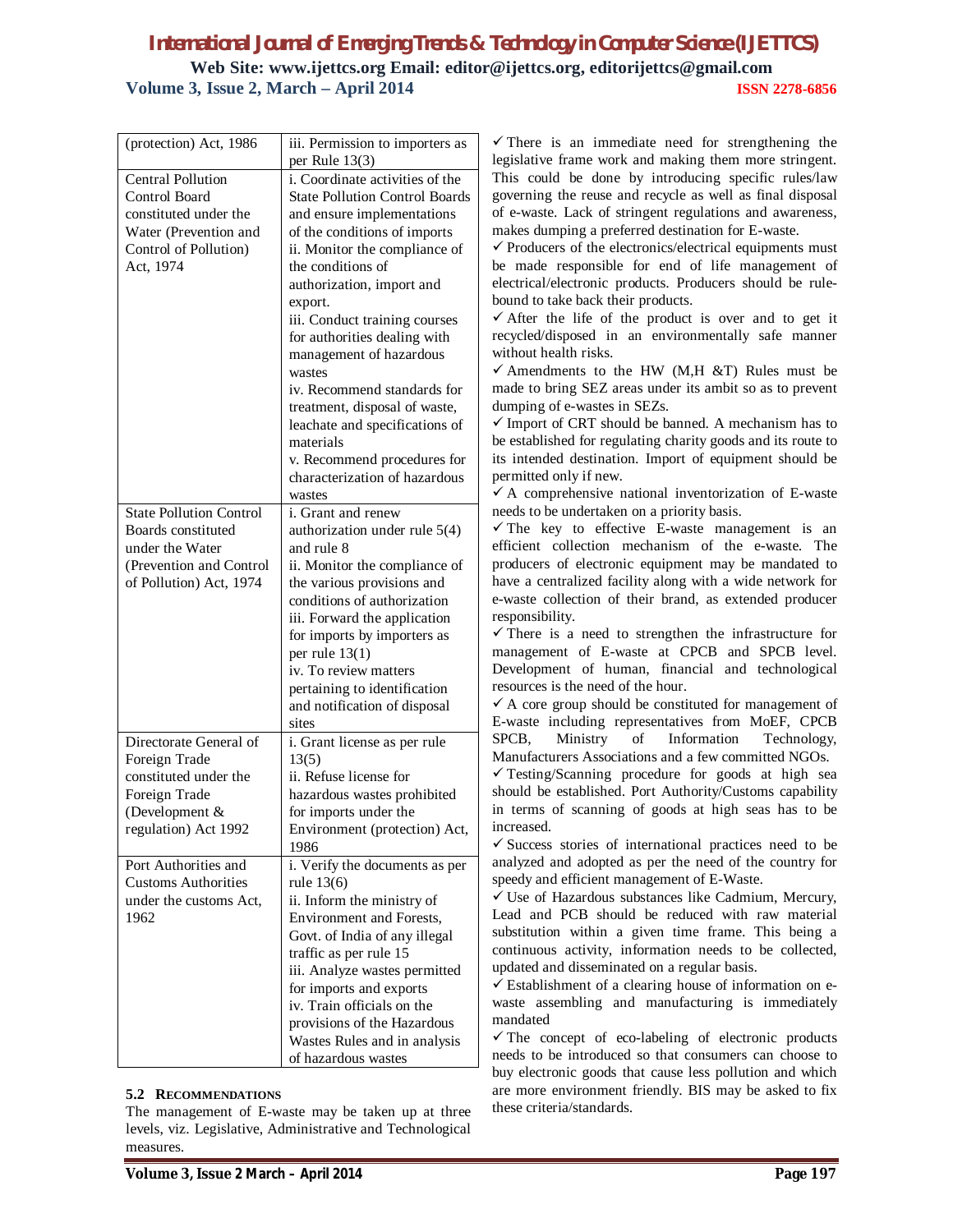| (protection) Act, 1986<br><b>Central Pollution</b><br><b>Control Board</b><br>constituted under the<br>Water (Prevention and<br>Control of Pollution)<br>Act, 1974 | iii. Permission to importers as<br>per Rule $13(3)$<br>i. Coordinate activities of the<br><b>State Pollution Control Boards</b><br>and ensure implementations<br>of the conditions of imports<br>ii. Monitor the compliance of<br>the conditions of<br>authorization, import and<br>export.<br>iii. Conduct training courses<br>for authorities dealing with<br>management of hazardous | $\checkmark$ There is an immediate need for strongle<br>legislative frame work and making them<br>This could be done by introducing spe<br>governing the reuse and recycle as well a<br>of e-waste. Lack of stringent regulations<br>makes dumping a preferred destination for<br>$\checkmark$ Producers of the electronics/electrical eq<br>be made responsible for end of life n<br>electrical/electronic products. Producers s<br>bound to take back their products.<br>$\checkmark$ After the life of the product is over<br>recycled/disposed in an environmentally<br>without health risks. |
|--------------------------------------------------------------------------------------------------------------------------------------------------------------------|-----------------------------------------------------------------------------------------------------------------------------------------------------------------------------------------------------------------------------------------------------------------------------------------------------------------------------------------------------------------------------------------|---------------------------------------------------------------------------------------------------------------------------------------------------------------------------------------------------------------------------------------------------------------------------------------------------------------------------------------------------------------------------------------------------------------------------------------------------------------------------------------------------------------------------------------------------------------------------------------------------|
| <b>State Pollution Control</b>                                                                                                                                     | wastes<br>iv. Recommend standards for<br>treatment, disposal of waste,<br>leachate and specifications of<br>materials<br>v. Recommend procedures for<br>characterization of hazardous<br>wastes<br>i. Grant and renew                                                                                                                                                                   | $\checkmark$ Amendments to the HW (M,H &T)<br>made to bring SEZ areas under its ambit s<br>dumping of e-wastes in SEZs.<br>√ Import of CRT should be banned. A me<br>be established for regulating charity goods<br>its intended destination. Import of equipr<br>permitted only if new.<br>$\checkmark$ A comprehensive national inventorizat<br>needs to be undertaken on a priority basis.                                                                                                                                                                                                     |
| Boards constituted<br>under the Water<br>(Prevention and Control<br>of Pollution) Act, 1974                                                                        | authorization under rule 5(4)<br>and rule 8<br>ii. Monitor the compliance of<br>the various provisions and<br>conditions of authorization<br>iii. Forward the application<br>for imports by importers as<br>per rule $13(1)$<br>iv. To review matters<br>pertaining to identification<br>and notification of disposal<br>sites                                                          | $\checkmark$ The key to effective E-waste mana<br>efficient collection mechanism of the<br>producers of electronic equipment may b<br>have a centralized facility along with a w<br>e-waste collection of their brand, as exte<br>responsibility.<br>$\checkmark$ There is a need to strengthen the in-<br>management of E-waste at CPCB and<br>Development of human, financial and<br>resources is the need of the hour.<br>$\checkmark$ A core group should be constituted for<br>E-waste including representatives from                                                                        |
| Directorate General of<br>Foreign Trade<br>constituted under the<br>Foreign Trade<br>(Development &<br>regulation) Act 1992                                        | i. Grant license as per rule<br>13(5)<br>ii. Refuse license for<br>hazardous wastes prohibited<br>for imports under the<br>Environment (protection) Act,<br>1986                                                                                                                                                                                                                        | of<br>SPCB,<br>Ministry<br>Information<br>Manufacturers Associations and a few com<br>$\checkmark$ Testing/Scanning procedure for good<br>should be established. Port Authority/Cus<br>in terms of scanning of goods at high<br>increased.<br>$\checkmark$ Success stories of international practic                                                                                                                                                                                                                                                                                               |
| Port Authorities and<br><b>Customs Authorities</b><br>under the customs Act,<br>1962                                                                               | i. Verify the documents as per<br>rule $13(6)$<br>ii. Inform the ministry of<br>Environment and Forests,<br>Govt. of India of any illegal<br>traffic as per rule 15<br>iii. Analyze wastes permitted<br>for imports and exports<br>iv. Train officials on the<br>provisions of the Hazardous<br>Wastes Rules and in analysis<br>of hazardous wastes                                     | analyzed and adopted as per the need of<br>speedy and efficient management of E-Was<br>√ Use of Hazardous substances like Cadn<br>Lead and PCB should be reduced with<br>substitution within a given time frame.<br>continuous activity, information needs t<br>updated and disseminated on a regular basi<br>$\checkmark$ Establishment of a clearing house of in:<br>waste assembling and manufacturing i<br>mandated<br>$\checkmark$ The concept of eco-labeling of elect<br>needs to be introduced so that consumers<br>huy electronic goods that cause less pollu-                           |

#### **5.2 RECOMMENDATIONS**

The management of E-waste may be taken up at three levels, viz. Legislative, Administrative and Technological measures.

engthening the more stringent. ecific rules/law us final disposal and awareness, E-waste.

quipments must management of should be rule-

and to get it y safe manner

Rules must be so as to prevent

echanism has to and its route to ment should be

tion of E-waste

agement is an e-waste. The pe mandated to ide network for ended producer

frastructure for d SPCB level. technological

management of MoEF, CPCB Technology, mitted NGOs.

ls at high sea stoms capability seas has to be

ces need to be the country for speedy and efficient management of E-Waste.

nium, Mercury, h raw material This being a to be collected, updated and disseminated on a regular basis.

formation on eis immediately

tronic products s can choose to buy electronic goods that cause less pollution and which are more environment friendly. BIS may be asked to fix these criteria/standards.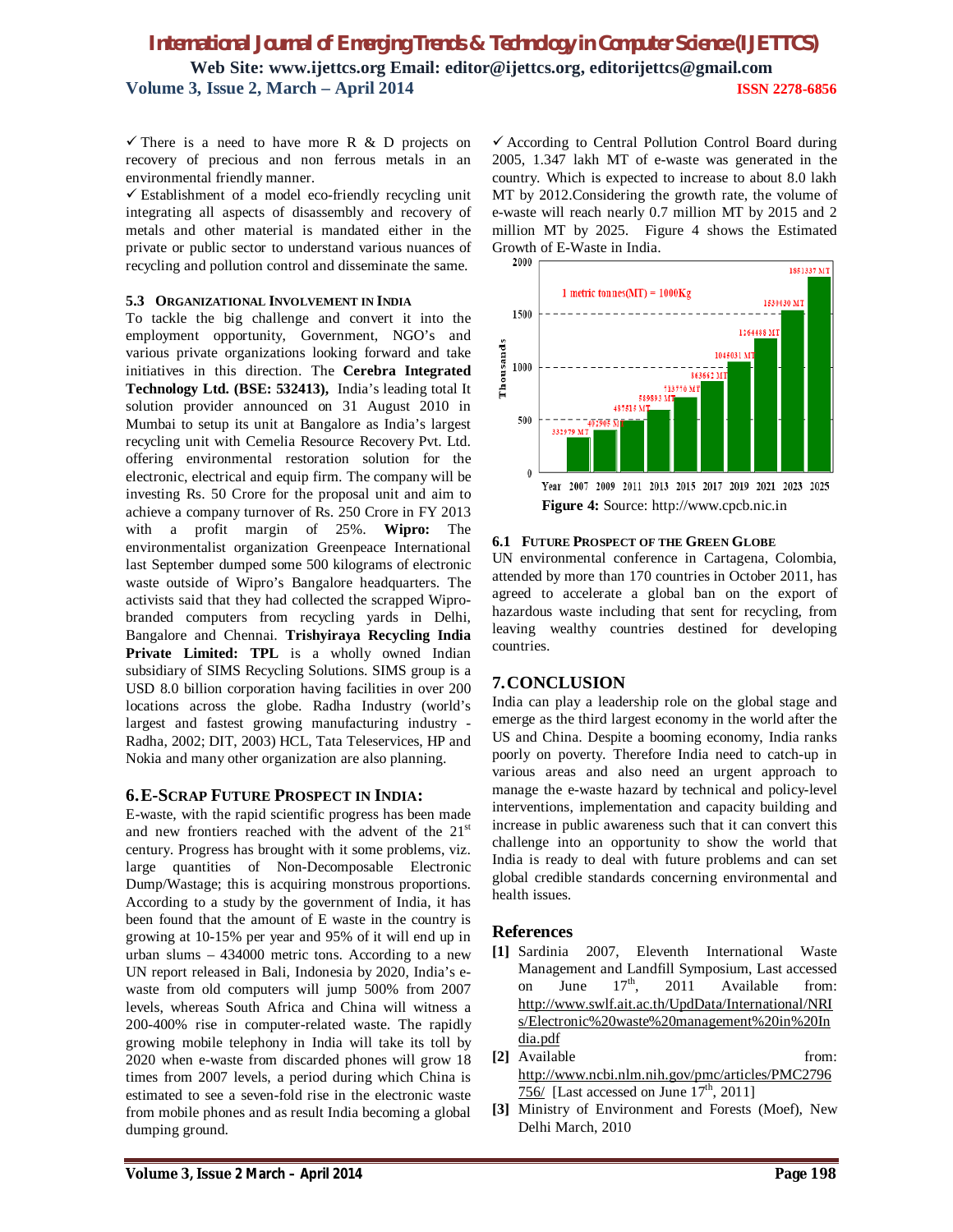There is a need to have more R & D projects on recovery of precious and non ferrous metals in an environmental friendly manner.

 $\checkmark$  Establishment of a model eco-friendly recycling unit integrating all aspects of disassembly and recovery of metals and other material is mandated either in the private or public sector to understand various nuances of recycling and pollution control and disseminate the same.

#### **5.3 ORGANIZATIONAL INVOLVEMENT IN INDIA**

To tackle the big challenge and convert it into the employment opportunity, Government, NGO's and various private organizations looking forward and take initiatives in this direction. The **Cerebra Integrated Technology Ltd. (BSE: 532413),** India's leading total It solution provider announced on 31 August 2010 in Mumbai to setup its unit at Bangalore as India's largest recycling unit with Cemelia Resource Recovery Pvt. Ltd. offering environmental restoration solution for the electronic, electrical and equip firm. The company will be investing Rs. 50 Crore for the proposal unit and aim to achieve a company turnover of Rs. 250 Crore in FY 2013 with a profit margin of 25%. **Wipro:** The environmentalist organization Greenpeace International last September dumped some 500 kilograms of electronic waste outside of Wipro's Bangalore headquarters. The activists said that they had collected the scrapped Wiprobranded computers from recycling yards in Delhi, Bangalore and Chennai. **Trishyiraya Recycling India Private Limited: TPL** is a wholly owned Indian subsidiary of SIMS Recycling Solutions. SIMS group is a USD 8.0 billion corporation having facilities in over 200 locations across the globe. Radha Industry (world's largest and fastest growing manufacturing industry - Radha, 2002; DIT, 2003) HCL, Tata Teleservices, HP and Nokia and many other organization are also planning.

#### **6.E-SCRAP FUTURE PROSPECT IN INDIA:**

E-waste, with the rapid scientific progress has been made and new frontiers reached with the advent of the  $21<sup>st</sup>$ century. Progress has brought with it some problems, viz. large quantities of Non-Decomposable Electronic Dump/Wastage; this is acquiring monstrous proportions. According to a study by the government of India, it has been found that the amount of E waste in the country is growing at 10-15% per year and 95% of it will end up in urban slums – 434000 metric tons. According to a new UN report released in Bali, Indonesia by 2020, India's ewaste from old computers will jump 500% from 2007 levels, whereas South Africa and China will witness a 200-400% rise in computer-related waste. The rapidly growing mobile telephony in India will take its toll by 2020 when e-waste from discarded phones will grow 18 times from 2007 levels, a period during which China is estimated to see a seven-fold rise in the electronic waste from mobile phones and as result India becoming a global dumping ground.

 $\checkmark$  According to Central Pollution Control Board during 2005, 1.347 lakh MT of e-waste was generated in the country. Which is expected to increase to about 8.0 lakh MT by 2012.Considering the growth rate, the volume of e-waste will reach nearly 0.7 million MT by 2015 and 2 million MT by 2025. Figure 4 shows the Estimated Growth of E-Waste in India.



#### **6.1 FUTURE PROSPECT OF THE GREEN GLOBE**

UN environmental conference in Cartagena, Colombia, attended by more than 170 countries in October 2011, has agreed to accelerate a global ban on the export of hazardous waste including that sent for recycling, from leaving wealthy countries destined for developing countries.

## **7.CONCLUSION**

India can play a leadership role on the global stage and emerge as the third largest economy in the world after the US and China. Despite a booming economy, India ranks poorly on poverty. Therefore India need to catch-up in various areas and also need an urgent approach to manage the e-waste hazard by technical and policy-level interventions, implementation and capacity building and increase in public awareness such that it can convert this challenge into an opportunity to show the world that India is ready to deal with future problems and can set global credible standards concerning environmental and health issues.

## **References**

- **[1]** Sardinia 2007, Eleventh International Waste Management and Landfill Symposium, Last accessed on June  $17<sup>th</sup>$ , 2011 Available from: http://www.swlf.ait.ac.th/UpdData/International/NRI s/Electronic%20waste%20management%20in%20In dia.pdf
- **[2]** Available from: http://www.ncbi.nlm.nih.gov/pmc/articles/PMC2796  $\frac{756}{ }$  [Last accessed on June 17<sup>th</sup>, 2011]
- **[3]** Ministry of Environment and Forests (Moef), New Delhi March, 2010